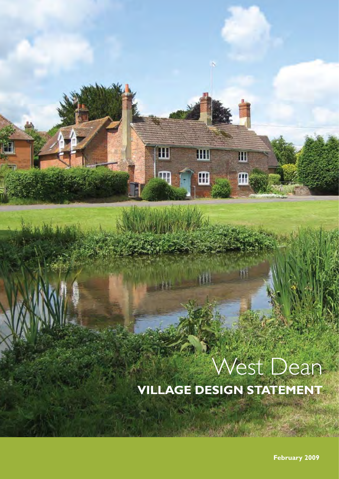# West Dean

**VILLAGE DESIGN STATEMENT**

Ш

 $\overline{\mathbb{F}}$ 

H

 $\mathbf{m}$ 

W

T

**February 2009**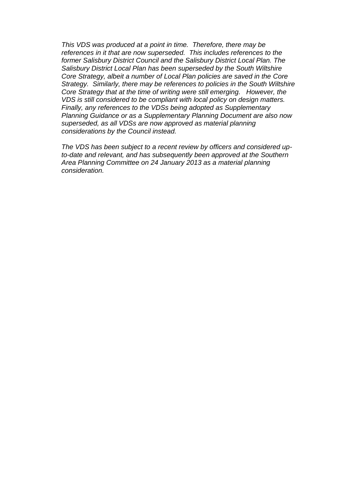*This VDS was produced at a point in time. Therefore, there may be references in it that are now superseded. This includes references to the former Salisbury District Council and the Salisbury District Local Plan. The Salisbury District Local Plan has been superseded by the South Wiltshire Core Strategy, albeit a number of Local Plan policies are saved in the Core Strategy. Similarly, there may be references to policies in the South Wiltshire Core Strategy that at the time of writing were still emerging. However, the VDS is still considered to be compliant with local policy on design matters. Finally, any references to the VDSs being adopted as Supplementary Planning Guidance or as a Supplementary Planning Document are also now superseded, as all VDSs are now approved as material planning considerations by the Council instead.* 

*The VDS has been subject to a recent review by officers and considered upto-date and relevant, and has subsequently been approved at the Southern Area Planning Committee on 24 January 2013 as a material planning consideration.*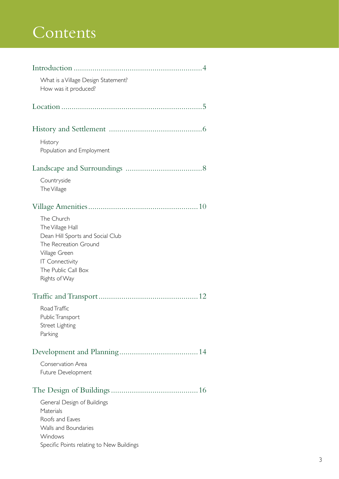# Contents

| What is a Village Design Statement?<br>How was it produced?                                                                                                                    |  |
|--------------------------------------------------------------------------------------------------------------------------------------------------------------------------------|--|
|                                                                                                                                                                                |  |
|                                                                                                                                                                                |  |
| History<br>Population and Employment                                                                                                                                           |  |
|                                                                                                                                                                                |  |
| Countryside<br>The Village                                                                                                                                                     |  |
|                                                                                                                                                                                |  |
| The Church<br>The Village Hall<br>Dean Hill Sports and Social Club<br>The Recreation Ground<br>Village Green<br><b>IT Connectivity</b><br>The Public Call Box<br>Rights of Way |  |
|                                                                                                                                                                                |  |
| Road Traffic<br>Public Transport<br>Street Lighting<br>Parking                                                                                                                 |  |
|                                                                                                                                                                                |  |
| Conservation Area<br>Future Development                                                                                                                                        |  |
|                                                                                                                                                                                |  |
| General Design of Buildings<br>Materials<br>Roofs and Eaves<br>Walls and Boundaries<br>Windows<br>Specific Points relating to New Buildings                                    |  |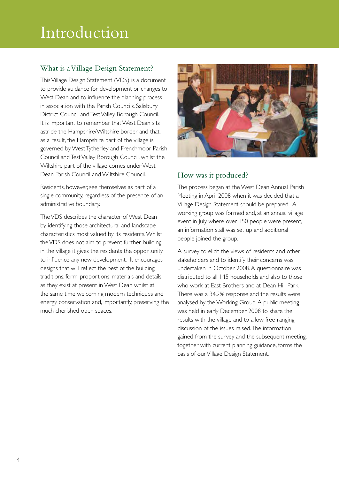# Introduction

#### What is a Village Design Statement?

This Village Design Statement (VDS) is a document to provide guidance for development or changes to West Dean and to influence the planning process in association with the Parish Councils, Salisbury District Council and Test Valley Borough Council. It is important to remember that West Dean sits astride the Hampshire/Wiltshire border and that, as a result, the Hampshire part of the village is governed by West Tytherley and Frenchmoor Parish Council and Test Valley Borough Council, whilst the Wiltshire part of the village comes under West Dean Parish Council and Wiltshire Council.

Residents, however, see themselves as part of a single community, regardless of the presence of an administrative boundary.

The VDS describes the character of West Dean by identifying those architectural and landscape characteristics most valued by its residents. Whilst the VDS does not aim to prevent further building in the village it gives the residents the opportunity to influence any new development. It encourages designs that will reflect the best of the building traditions, form, proportions, materials and details as they exist at present in West Dean whilst at the same time welcoming modern techniques and energy conservation and, importantly, preserving the much cherished open spaces.



#### How was it produced?

The process began at the West Dean Annual Parish Meeting in April 2008 when it was decided that a Village Design Statement should be prepared. A working group was formed and, at an annual village event in July where over 150 people were present, an information stall was set up and additional people joined the group.

A survey to elicit the views of residents and other stakeholders and to identify their concerns was undertaken in October 2008. A questionnaire was distributed to all 145 households and also to those who work at East Brothers and at Dean Hill Park. There was a 34.2% response and the results were analysed by the Working Group. A public meeting was held in early December 2008 to share the results with the village and to allow free-ranging discussion of the issues raised. The information gained from the survey and the subsequent meeting, together with current planning guidance, forms the basis of our Village Design Statement.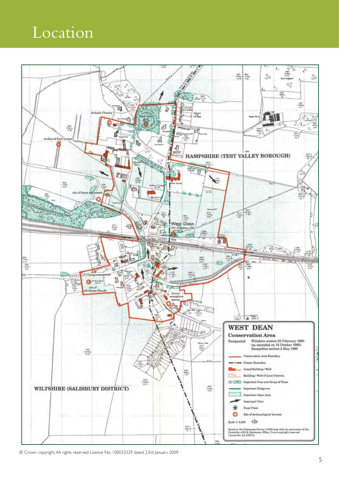## Location



© Crown copyright. All rights reserved Licence No. 100033329 dated 23rd January 2009.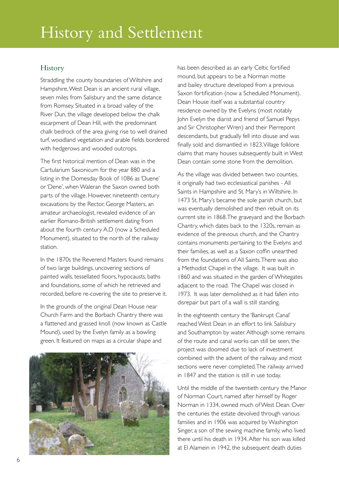#### **History**

Straddling the county boundaries of Wiltshire and Hampshire, West Dean is an ancient rural village, seven miles from Salisbury and the same distance from Romsey. Situated in a broad valley of the River Dun, the village developed below the chalk escarpment of Dean Hill, with the predominant chalk bedrock of the area giving rise to well drained turf, woodland vegetation and arable fields bordered with hedgerows and wooded outcrops.

The first historical mention of Dean was in the Cartularium Saxonicum for the year 880 and a listing in the Domesday Book of 1086 as 'Duene' or 'Dene', when Waleran the Saxon owned both parts of the village. However, nineteenth century excavations by the Rector, George Masters, an amateur archaeologist, revealed evidence of an earlier Romano-British settlement dating from about the fourth century A.D (now a Scheduled Monument), situated to the north of the railway station.

In the 1870s the Reverend Masters found remains of two large buildings, uncovering sections of painted walls, tessellated floors, hypocausts, baths and foundations, some of which he retrieved and recorded, before re-covering the site to preserve it.

In the grounds of the original Dean House near Church Farm and the Borbach Chantry there was a flattened and grassed knoll (now known as Castle Mound), used by the Evelyn family as a bowling green. It featured on maps as a circular shape and



has been described as an early Celtic fortified mound, but appears to be a Norman motte and bailey structure developed from a previous Saxon fortification (now a Scheduled Monument). Dean House itself was a substantial country residence owned by the Evelyns (most notably John Evelyn the diarist and friend of Samuel Pepys and Sir Christopher Wren) and their Pierrepont descendants, but gradually fell into disuse and was finally sold and dismantled in 1823. Village folklore claims that many houses subsequently built in West Dean contain some stone from the demolition.

As the village was divided between two counties, it originally had two ecclesiastical parishes - All Saints in Hampshire and St. Mary's in Wiltshire. In 1473 St. Mary's became the sole parish church, but was eventually demolished and then rebuilt on its current site in 1868. The graveyard and the Borbach Chantry, which dates back to the 1320s, remain as evidence of the previous church, and the Chantry contains monuments pertaining to the Evelyns and their families, as well as a Saxon coffin unearthed from the foundations of All Saints. There was also a Methodist Chapel in the village. It was built in 1860 and was situated in the garden of Whitegates adjacent to the road. The Chapel was closed in 1973. It was later demolished as it had fallen into disrepair but part of a wall is still standing.

In the eighteenth century the 'Bankrupt Canal' reached West Dean in an effort to link Salisbury and Southampton by water. Although some remains of the route and canal works can still be seen, the project was doomed due to lack of investment combined with the advent of the railway and most sections were never completed. The railway arrived in 1847 and the station is still in use today.

Until the middle of the twentieth century the Manor of Norman Court, named after himself by Roger Norman in 1334, owned much of West Dean. Over the centuries the estate devolved through various families and in 1906 was acquired by Washington Singer, a son of the sewing machine family, who lived there until his death in 1934. After his son was killed at El Alamein in 1942, the subsequent death duties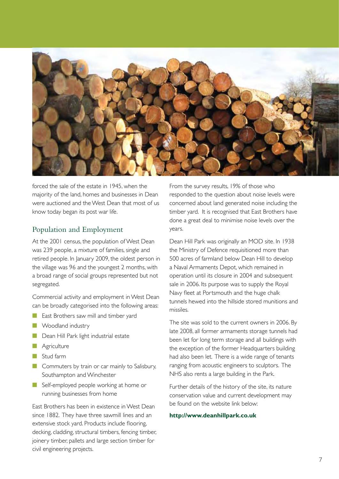

forced the sale of the estate in 1945, when the majority of the land, homes and businesses in Dean were auctioned and the West Dean that most of us know today began its post war life.

#### Population and Employment

At the 2001 census, the population of West Dean was 239 people, a mixture of families, single and retired people. In January 2009, the oldest person in the village was 96 and the youngest 2 months, with a broad range of social groups represented but not segregated.

Commercial activity and employment in West Dean can be broadly categorised into the following areas:

- East Brothers saw mill and timber yard
- Woodland industry
- Dean Hill Park light industrial estate
- Agriculture
- Stud farm
- Commuters by train or car mainly to Salisbury, Southampton and Winchester
- Self-employed people working at home or running businesses from home

East Brothers has been in existence in West Dean since 1882. They have three sawmill lines and an extensive stock yard. Products include flooring, decking, cladding, structural timbers, fencing timber, joinery timber, pallets and large section timber for civil engineering projects.

From the survey results, 19% of those who responded to the question about noise levels were concerned about land generated noise including the timber yard. It is recognised that East Brothers have done a great deal to minimise noise levels over the years.

Dean Hill Park was originally an MOD site. In 1938 the Ministry of Defence requisitioned more than 500 acres of farmland below Dean Hill to develop a Naval Armaments Depot, which remained in operation until its closure in 2004 and subsequent sale in 2006. Its purpose was to supply the Royal Navy fleet at Portsmouth and the huge chalk tunnels hewed into the hillside stored munitions and missiles.

The site was sold to the current owners in 2006. By late 2008, all former armaments storage tunnels had been let for long term storage and all buildings with the exception of the former Headquarters building had also been let. There is a wide range of tenants ranging from acoustic engineers to sculptors. The NHS also rents a large building in the Park.

Further details of the history of the site, its nature conservation value and current development may be found on the website link below:

#### **http://www.deanhillpark.co.uk**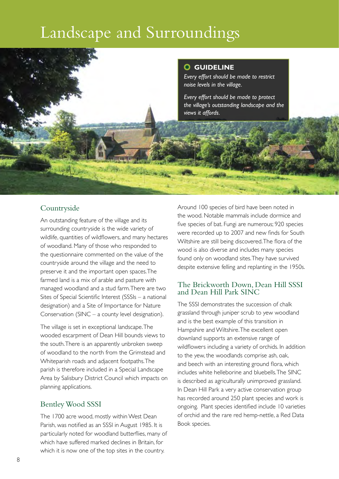# Landscape and Surroundings



#### Countryside

An outstanding feature of the village and its surrounding countryside is the wide variety of wildlife, quantities of wildflowers, and many hectares of woodland. Many of those who responded to the questionnaire commented on the value of the countryside around the village and the need to preserve it and the important open spaces. The farmed land is a mix of arable and pasture with managed woodland and a stud farm. There are two Sites of Special Scientific Interest (SSSIs – a national designation) and a Site of Importance for Nature Conservation (SINC – a county level designation).

The village is set in exceptional landscape. The wooded escarpment of Dean Hill bounds views to the south. There is an apparently unbroken sweep of woodland to the north from the Grimstead and Whiteparish roads and adjacent footpaths. The parish is therefore included in a Special Landscape Area by Salisbury District Council which impacts on planning applications.

#### Bentley Wood SSSI

The 1700 acre wood, mostly within West Dean Parish, was notified as an SSSI in August 1985. It is particularly noted for woodland butterflies, many of which have suffered marked declines in Britain, for which it is now one of the top sites in the country.

Around 100 species of bird have been noted in the wood. Notable mammals include dormice and five species of bat. Fungi are numerous; 920 species were recorded up to 2007 and new finds for South Wiltshire are still being discovered. The flora of the wood is also diverse and includes many species found only on woodland sites. They have survived despite extensive felling and replanting in the 1950s.

#### The Brickworth Down, Dean Hill SSSI and Dean Hill Park SINC

The SSSI demonstrates the succession of chalk grassland through juniper scrub to yew woodland and is the best example of this transition in Hampshire and Wiltshire. The excellent open downland supports an extensive range of wildflowers including a variety of orchids. In addition to the yew, the woodlands comprise ash, oak, and beech with an interesting ground flora, which includes white helleborine and bluebells. The SINC is described as agriculturally unimproved grassland. In Dean Hill Park a very active conservation group has recorded around 250 plant species and work is ongoing. Plant species identified include 10 varieties of orchid and the rare red hemp-nettle, a Red Data Book species.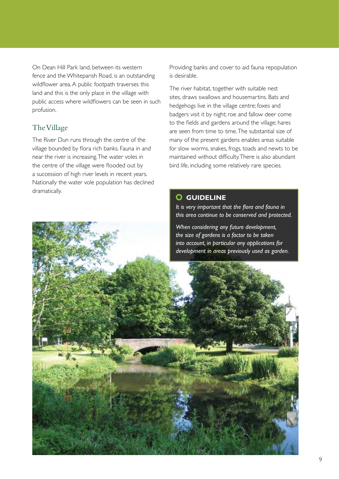On Dean Hill Park land, between its western fence and the Whiteparish Road, is an outstanding wildflower area. A public footpath traverses this land and this is the only place in the village with public access where wildflowers can be seen in such profusion.

#### The Village

The River Dun runs through the centre of the village bounded by flora rich banks. Fauna in and near the river is increasing. The water voles in the centre of the village were flooded out by a succession of high river levels in recent years. Nationally the water vole population has declined dramatically.

Providing banks and cover to aid fauna repopulation is desirable.

The river habitat, together with suitable nest sites, draws swallows and housemartins. Bats and hedgehogs live in the village centre; foxes and badgers visit it by night; roe and fallow deer come to the fields and gardens around the village; hares are seen from time to time. The substantial size of many of the present gardens enables areas suitable for slow worms, snakes, frogs, toads and newts to be maintained without difficulty. There is also abundant bird life, including some relatively rare species.

#### **GUIDELINE**

*It is very important that the flora and fauna in this area continue to be conserved and protected.*

*When considering any future development, the size of gardens is a factor to be taken into account, in particular any applications for development in areas previously used as garden.*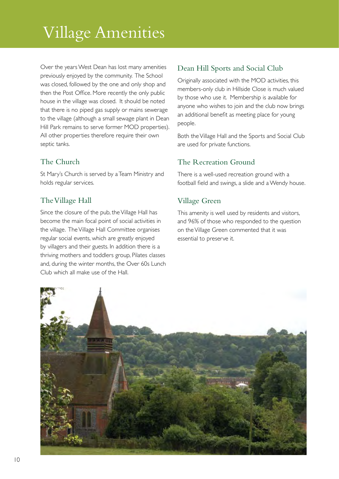# Village Amenities

Over the years West Dean has lost many amenities previously enjoyed by the community. The School was closed, followed by the one and only shop and then the Post Office. More recently the only public house in the village was closed. It should be noted that there is no piped gas supply or mains sewerage to the village (although a small sewage plant in Dean Hill Park remains to serve former MOD properties). All other properties therefore require their own septic tanks.

#### The Church

St Mary's Church is served by a Team Ministry and holds regular services.

#### The Village Hall

Since the closure of the pub, the Village Hall has become the main focal point of social activities in the village. The Village Hall Committee organises regular social events, which are greatly enjoyed by villagers and their guests. In addition there is a thriving mothers and toddlers group, Pilates classes and, during the winter months, the Over 60s Lunch Club which all make use of the Hall.

#### Dean Hill Sports and Social Club

Originally associated with the MOD activities, this members-only club in Hillside Close is much valued by those who use it. Membership is available for anyone who wishes to join and the club now brings an additional benefit as meeting place for young people.

Both the Village Hall and the Sports and Social Club are used for private functions.

#### The Recreation Ground

There is a well-used recreation ground with a football field and swings, a slide and a Wendy house.

#### Village Green

This amenity is well used by residents and visitors, and 96% of those who responded to the question on the Village Green commented that it was essential to preserve it.

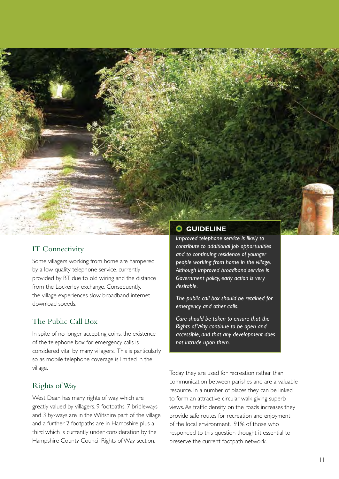#### IT Connectivity

Some villagers working from home are hampered by a low quality telephone service, currently provided by BT, due to old wiring and the distance from the Lockerley exchange. Consequently, the village experiences slow broadband internet download speeds.

#### The Public Call Box

In spite of no longer accepting coins, the existence of the telephone box for emergency calls is considered vital by many villagers. This is particularly so as mobile telephone coverage is limited in the village.

#### Rights of Way

West Dean has many rights of way, which are greatly valued by villagers. 9 footpaths, 7 bridleways and 3 by-ways are in the Wiltshire part of the village and a further 2 footpaths are in Hampshire plus a third which is currently under consideration by the Hampshire County Council Rights of Way section.

#### **GUIDELINE**

*Improved telephone service is likely to contribute to additional job opportunities and to continuing residence of younger people working from home in the village. Although improved broadband service is Government policy, early action is very desirable.*

*The public call box should be retained for emergency and other calls.*

*Care should be taken to ensure that the Rights of Way continue to be open and accessible, and that any development does not intrude upon them.*

Today they are used for recreation rather than communication between parishes and are a valuable resource. In a number of places they can be linked to form an attractive circular walk giving superb views. As traffic density on the roads increases they provide safe routes for recreation and enjoyment of the local environment. 91% of those who responded to this question thought it essential to preserve the current footpath network.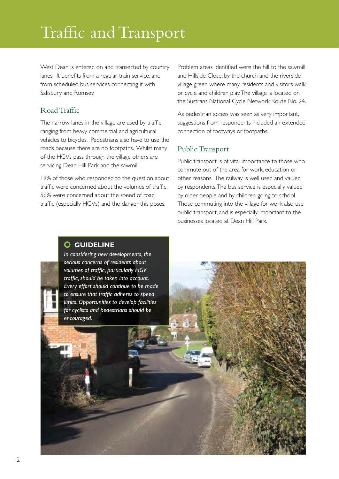# Traffic and Transport

West Dean is entered on and transected by country lanes. It benefits from a regular train service, and from scheduled bus services connecting it with Salisbury and Romsey.

#### Road Traffic

The narrow lanes in the village are used by traffic ranging from heavy commercial and agricultural vehicles to bicycles. Pedestrians also have to use the roads because there are no footpaths. Whilst many of the HGVs pass through the village others are servicing Dean Hill Park and the sawmill.

19% of those who responded to the question about traffic were concerned about the volumes of traffic. 56% were concerned about the speed of road traffic (especially HGVs) and the danger this poses.

Problem areas identified were the hill to the sawmill and Hillside Close, by the church and the riverside village green where many residents and visitors walk or cycle and children play. The village is located on the Sustrans National Cycle Network Route No. 24.

As pedestrian access was seen as very important, suggestions from respondents included an extended connection of footways or footpaths.

#### Public Transport

Public transport is of vital importance to those who commute out of the area for work, education or other reasons. The railway is well used and valued by respondents. The bus service is especially valued by older people and by children going to school. Those commuting into the village for work also use public transport, and is especially important to the businesses located at Dean Hill Park.

#### **GUIDELINE**

*In considering new developments, the serious concerns of residents about volumes of traffic, particularly HGV traffic, should be taken into account. Every effort should continue to be made to ensure that traffic adheres to speed limits. Opportunities to develop facilities for cyclists and pedestrians should be encouraged.*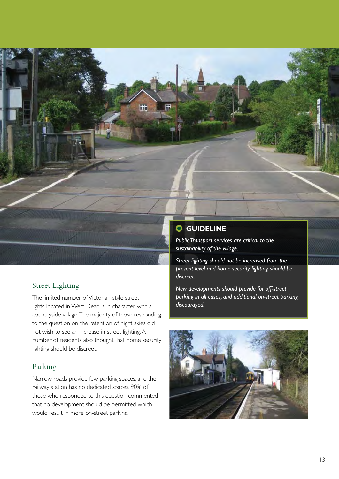

#### Street Lighting

The limited number of Victorian-style street lights located in West Dean is in character with a countryside village. The majority of those responding to the question on the retention of night skies did not wish to see an increase in street lighting. A number of residents also thought that home security lighting should be discreet.

#### Parking

Narrow roads provide few parking spaces, and the railway station has no dedicated spaces. 90% of those who responded to this question commented that no development should be permitted which would result in more on-street parking.

*sustainability of the village.* 

*Street lighting should not be increased from the present level and home security lighting should be discreet.*

*New developments should provide for off-street parking in all cases, and additional on-street parking discouraged.*

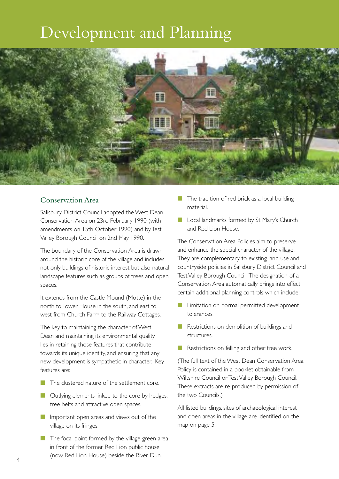## Development and Planning



#### Conservation Area

Salisbury District Council adopted the West Dean Conservation Area on 23rd February 1990 (with amendments on 15th October 1990) and by Test Valley Borough Council on 2nd May 1990.

The boundary of the Conservation Area is drawn around the historic core of the village and includes not only buildings of historic interest but also natural landscape features such as groups of trees and open spaces.

It extends from the Castle Mound (Motte) in the north to Tower House in the south, and east to west from Church Farm to the Railway Cottages.

The key to maintaining the character of West Dean and maintaining its environmental quality lies in retaining those features that contribute towards its unique identity, and ensuring that any new development is sympathetic in character. Key features are:

- The clustered nature of the settlement core.
- Outlying elements linked to the core by hedges, tree belts and attractive open spaces.
- Important open areas and views out of the village on its fringes.
- The focal point formed by the village green area in front of the former Red Lion public house (now Red Lion House) beside the River Dun.
- The tradition of red brick as a local building material.
- Local landmarks formed by St Mary's Church and Red Lion House.

The Conservation Area Policies aim to preserve and enhance the special character of the village. They are complementary to existing land use and countryside policies in Salisbury District Council and Test Valley Borough Council. The designation of a Conservation Area automatically brings into effect certain additional planning controls which include:

- Limitation on normal permitted development tolerances.
- Restrictions on demolition of buildings and structures.
- Restrictions on felling and other tree work.

(The full text of the West Dean Conservation Area Policy is contained in a booklet obtainable from Wiltshire Council or Test Valley Borough Council. These extracts are re-produced by permission of the two Councils.)

All listed buildings, sites of archaeological interest and open areas in the village are identified on the map on page 5.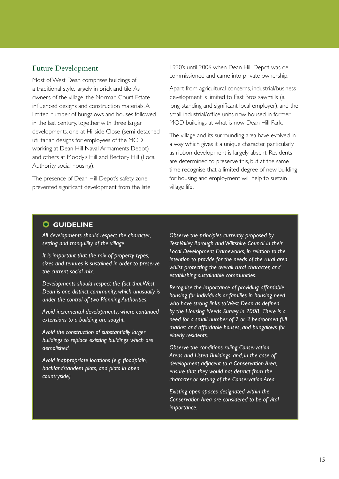#### Future Development

Most of West Dean comprises buildings of a traditional style, largely in brick and tile. As owners of the village, the Norman Court Estate influenced designs and construction materials. A limited number of bungalows and houses followed in the last century, together with three larger developments, one at Hillside Close (semi-detached utilitarian designs for employees of the MOD working at Dean Hill Naval Armaments Depot) and others at Moody's Hill and Rectory Hill (Local Authority social housing).

The presence of Dean Hill Depot's safety zone prevented significant development from the late 1930's until 2006 when Dean Hill Depot was decommissioned and came into private ownership.

Apart from agricultural concerns, industrial/business development is limited to East Bros sawmills (a long-standing and significant local employer), and the small industrial/office units now housed in former MOD buildings at what is now Dean Hill Park.

The village and its surrounding area have evolved in a way which gives it a unique character, particularly as ribbon development is largely absent. Residents are determined to preserve this, but at the same time recognise that a limited degree of new building for housing and employment will help to sustain village life.

#### **GUIDELINE**

*All developments should respect the character, setting and tranquility of the village.*

*It is important that the mix of property types, sizes and tenures is sustained in order to preserve the current social mix.*

*Developments should respect the fact that West Dean is one distinct community, which unusually is under the control of two Planning Authorities.*

*Avoid incremental developments, where continued extensions to a building are sought.*

*Avoid the construction of substantially larger buildings to replace existing buildings which are demolished.*

*Avoid inappropriate locations (e.g. floodplain, backland/tandem plots, and plots in open countryside)*

*Observe the principles currently proposed by Test Valley Borough and Wiltshire Council in their Local Development Frameworks, in relation to the intention to provide for the needs of the rural area whilst protecting the overall rural character, and establishing sustainable communities.*

*Recognise the importance of providing affordable housing for individuals or families in housing need who have strong links to West Dean as defined by the Housing Needs Survey in 2008. There is a need for a small number of 2 or 3 bedroomed full market and affordable houses, and bungalows for elderly residents.*

*Observe the conditions ruling Conservation Areas and Listed Buildings, and, in the case of development adjacent to a Conservation Area, ensure that they would not detract from the character or setting of the Conservation Area.* 

*Existing open spaces designated within the Conservation Area are considered to be of vital importance.*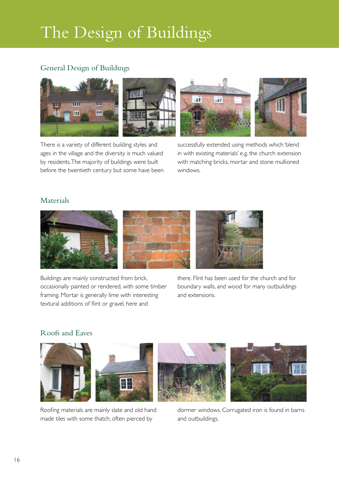# The Design of Buildings

#### General Design of Buildings



There is a variety of different building styles and ages in the village and the diversity is much valued by residents. The majority of buildings were built before the twentieth century but some have been successfully extended using methods which 'blend in with existing materials' e.g. the church extension with matching bricks, mortar and stone mullioned windows.

#### Materials



Buildings are mainly constructed from brick, occasionally painted or rendered, with some timber framing. Mortar is generally lime with interesting textural additions of flint or gravel, here and

there. Flint has been used for the church and for boundary walls, and wood for many outbuildings and extensions.

#### Roofs and Eaves



Roofing materials are mainly slate and old hand made tiles with some thatch, often pierced by

dormer windows. Corrugated iron is found in barns and outbuildings.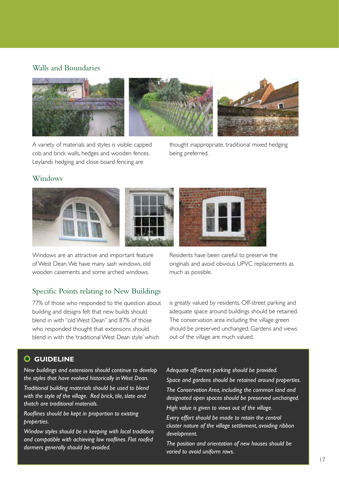#### Walls and Boundaries



A variety of materials and styles is visible: capped cob and brick walls, hedges and wooden fences. Leylandii hedging and close board fencing are

thought inappropriate, traditional mixed hedging being preferred.

#### **Windows**





Windows are an attractive and important feature of West Dean. We have many sash windows, old wooden casements and some arched windows.

#### Specific Points relating to New Buildings

77% of those who responded to the question about building and designs felt that new builds should blend in with "old West Dean" and 87% of those who responded thought that extensions should blend in with the 'traditional West Dean style' which

Residents have been careful to preserve the originals and avoid obvious UPVC replacements as much as possible.

is greatly valued by residents. Off-street parking and adequate space around buildings should be retained. The conservation area including the village green should be preserved unchanged. Gardens and views out of the village are much valued.

#### **GUIDELINE**

*New buildings and extensions should continue to develop the styles that have evolved historically in West Dean.*

*Traditional building materials should be used to blend with the style of the village. Red brick, tile, slate and thatch are traditional materials.* 

*Rooflines should be kept in proportion to existing properties.*

*Window styles should be in keeping with local traditions and compatible with achieving low rooflines. Flat roofed dormers generally should be avoided.*

*Adequate off-street parking should be provided. Space and gardens should be retained around properties. The Conservation Area, including the common land and designated open spaces should be preserved unchanged.*

*High value is given to views out of the village.*

*Every effort should be made to retain the central cluster nature of the village settlement, avoiding ribbon development.*

*The position and orientation of new houses should be varied to avoid uniform rows.*